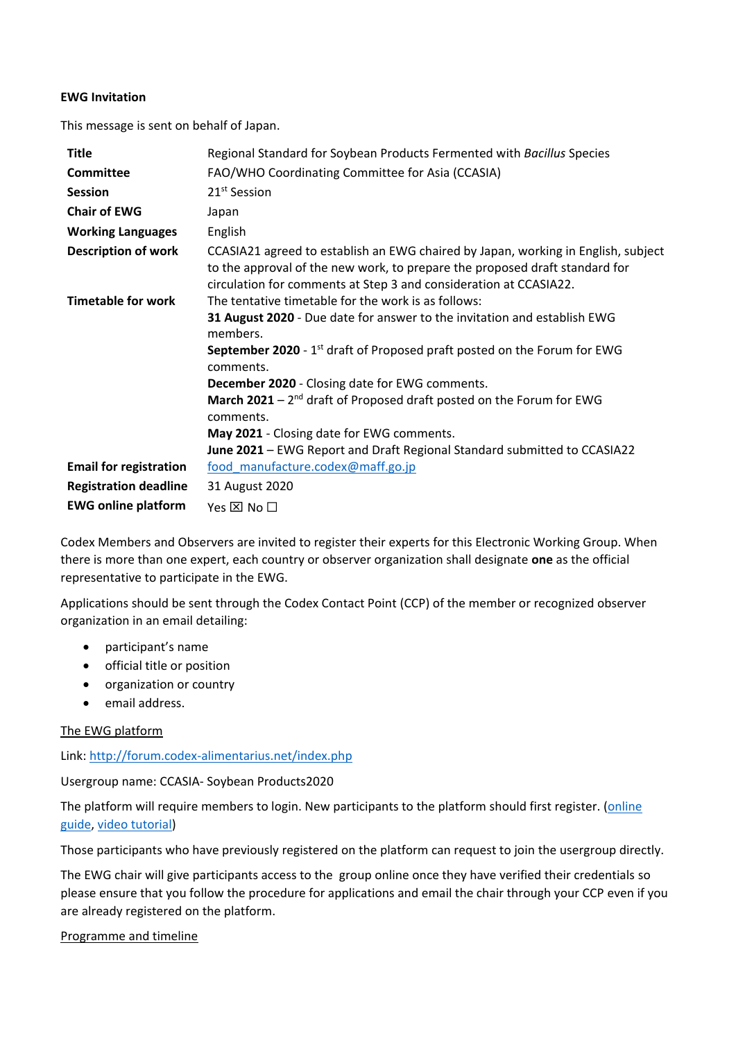## **EWG Invitation**

This message is sent on behalf of Japan.

| <b>Title</b>                  | Regional Standard for Soybean Products Fermented with Bacillus Species                                                                                                                                                                |
|-------------------------------|---------------------------------------------------------------------------------------------------------------------------------------------------------------------------------------------------------------------------------------|
| <b>Committee</b>              | FAO/WHO Coordinating Committee for Asia (CCASIA)                                                                                                                                                                                      |
| <b>Session</b>                | 21 <sup>st</sup> Session                                                                                                                                                                                                              |
| <b>Chair of EWG</b>           | Japan                                                                                                                                                                                                                                 |
| <b>Working Languages</b>      | English                                                                                                                                                                                                                               |
| <b>Description of work</b>    | CCASIA21 agreed to establish an EWG chaired by Japan, working in English, subject<br>to the approval of the new work, to prepare the proposed draft standard for<br>circulation for comments at Step 3 and consideration at CCASIA22. |
| <b>Timetable for work</b>     | The tentative timetable for the work is as follows:                                                                                                                                                                                   |
|                               | 31 August 2020 - Due date for answer to the invitation and establish EWG<br>members.                                                                                                                                                  |
|                               | September 2020 - 1 <sup>st</sup> draft of Proposed praft posted on the Forum for EWG<br>comments.                                                                                                                                     |
|                               | <b>December 2020</b> - Closing date for EWG comments.                                                                                                                                                                                 |
|                               | March 2021 $-2^{nd}$ draft of Proposed draft posted on the Forum for EWG<br>comments.                                                                                                                                                 |
|                               | May 2021 - Closing date for EWG comments.                                                                                                                                                                                             |
|                               | June 2021 – EWG Report and Draft Regional Standard submitted to CCASIA22                                                                                                                                                              |
| <b>Email for registration</b> | food_manufacture.codex@maff.go.jp                                                                                                                                                                                                     |
| <b>Registration deadline</b>  | 31 August 2020                                                                                                                                                                                                                        |
| <b>EWG online platform</b>    | Yes $\boxtimes$ No $\square$                                                                                                                                                                                                          |

Codex Members and Observers are invited to register their experts for this Electronic Working Group. When there is more than one expert, each country or observer organization shall designate **one** as the official representative to participate in the EWG.

Applications should be sent through the Codex Contact Point (CCP) of the member or recognized observer organization in an email detailing:

- participant's name
- **•** official title or position
- organization or country
- email address.

## The EWG platform

Link:<http://forum.codex-alimentarius.net/index.php>

Usergroup name: CCASIA- Soybean Products2020

The platform will require members to login. New participants to the platform should first register. [\(online](http://forum.codex-alimentarius.net/viewtopic.php?f=13&t=11)  [guide,](http://forum.codex-alimentarius.net/viewtopic.php?f=13&t=11) [video tutorial\)](https://youtu.be/EJn9k7wNSwk)

Those participants who have previously registered on the platform can request to join the usergroup directly.

The EWG chair will give participants access to the group online once they have verified their credentials so please ensure that you follow the procedure for applications and email the chair through your CCP even if you are already registered on the platform.

## Programme and timeline